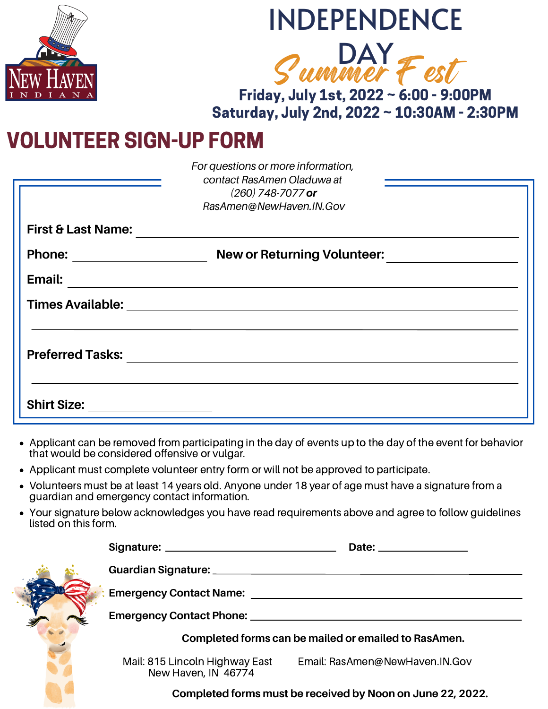

# INDEPENDENCE



Friday, July 1st, 2022 ~ 6:00 - 9:00PM Saturday, July 2nd, 2022 ~ 10:30AM - 2:30PM

## VOLUNTEER SIGN-UP FORM

|                               | For questions or more information,<br>contact RasAmen Oladuwa at<br>$(260)$ 748-7077 or<br>RasAmen@NewHaven.IN.Gov |  |
|-------------------------------|--------------------------------------------------------------------------------------------------------------------|--|
| <b>First &amp; Last Name:</b> |                                                                                                                    |  |
| <b>Phone:</b>                 | <b>New or Returning Volunteer:</b>                                                                                 |  |
| Email:                        |                                                                                                                    |  |
|                               | Times Available: <u>Australian Australian Australia et al.</u>                                                     |  |
|                               |                                                                                                                    |  |
| <b>Preferred Tasks:</b>       |                                                                                                                    |  |
|                               |                                                                                                                    |  |
| <b>Shirt Size:</b>            |                                                                                                                    |  |

- Applicant can be removed from participating in the day of events up to the day of the event for behavior that would be considered offensive or vulgar.
- Applicant must complete volunteer entry form or will not be approved to participate.
- Volunteers must be at least 14 years old. Anyone under 18 year of age must have a signature from a guardian and emergency contact information.
- Your signature below acknowledges you have read requirements above and agree to follow guidelines listed on this form.

| Guardian Signature: _________ |                                                                                                                |                                |  |  |
|-------------------------------|----------------------------------------------------------------------------------------------------------------|--------------------------------|--|--|
|                               | Emergency Contact Name: Name: Name: Name and Name and Name and Name and Name and Name and Name and Name and Na |                                |  |  |
|                               | Emergency Contact Phone: 2008 2009 2010 2020 2021 2022 2023 2024 2022 2023 2024 2022 2023 2024 2022 2023 2024  |                                |  |  |
|                               | Completed forms can be mailed or emailed to RasAmen.                                                           |                                |  |  |
|                               | Mail: 815 Lincoln Highway East<br>New Haven, IN 46774                                                          | Email: RasAmen@NewHaven.IN.Gov |  |  |

**Completed forms must be received by Noon on June 22, 2022.**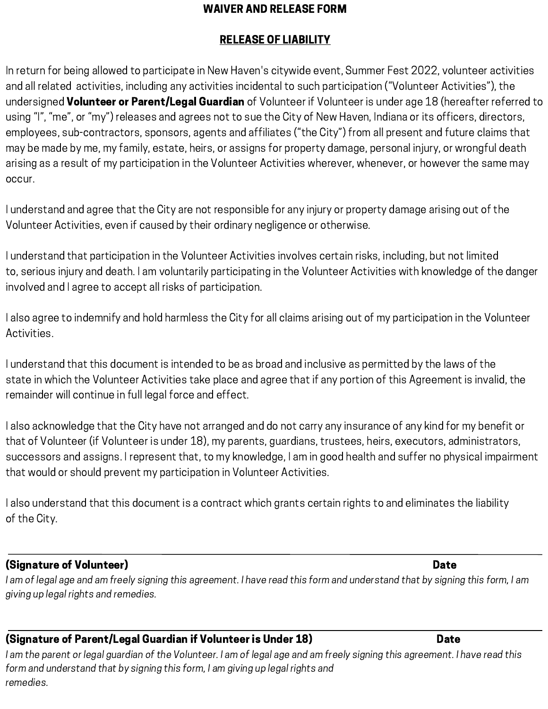#### WAIVER AND RELEASE FORM

#### RELEASE OF LIABILITY

In return for being allowed to participate in New Haven's citywide event, Summer Fest 2022, volunteer activities and all related activities, including any activities incidental to such participation ("Volunteer Activities"), the undersigned Volunteer or Parent/Legal Guardian of Volunteer if Volunteer is under age 18 (hereafter referred to using "I", "me", or "my") releases and agrees not to sue the City of New Haven, Indiana or its officers, directors, employees, sub-contractors, sponsors, agents and affiliates ("the City") from all present and future claims that may be made by me, my family, estate, heirs, or assigns for property damage, personal injury, or wrongful death arising as a result of my participation in the Volunteer Activities wherever, whenever, or however the same may occur.

I understand and agree that the City are not responsible for any injury or property damage arising out of the Volunteer Activities, even if caused by their ordinary negligence or otherwise.

I understand that participation in the Volunteer Activities involves certain risks, including, but not limited to, serious injury and death. I am voluntarily participating in the Volunteer Activities with knowledge of the danger involved and I agree to accept all risks of participation.

I also agree to indemnify and hold harmless the City for all claims arising out of my participation in the Volunteer Activities.

I understand that this document is intended to be as broad and inclusive as permitted by the laws of the state in which the Volunteer Activities take place and agree that if any portion of this Agreement is invalid, the remainder will continue in full legal force and effect.

I also acknowledge that the City have not arranged and do not carry any insurance of any kind for my benefit or that of Volunteer (if Volunteer is under 18), my parents, guardians, trustees, heirs, executors, administrators, successors and assigns. I represent that, to my knowledge, I am in good health and suffer no physical impairment that would or should prevent my participation in Volunteer Activities.

I also understand that this document is a contract which grants certain rights to and eliminates the liability of the City.

#### (Signature of Volunteer) Date

I am of legal age and am freely signing this agreement. I have read this form and understand that by signing this form, I am giving up legal rights and remedies.

#### (Signature of Parent/Legal Guardian if Volunteer is Under 18) Date

I am the parent or legal guardian of the Volunteer. I am of legal age and am freely signing this agreement. I have read this form and understand that by signing this form, I am giving up legal rights and remedies.